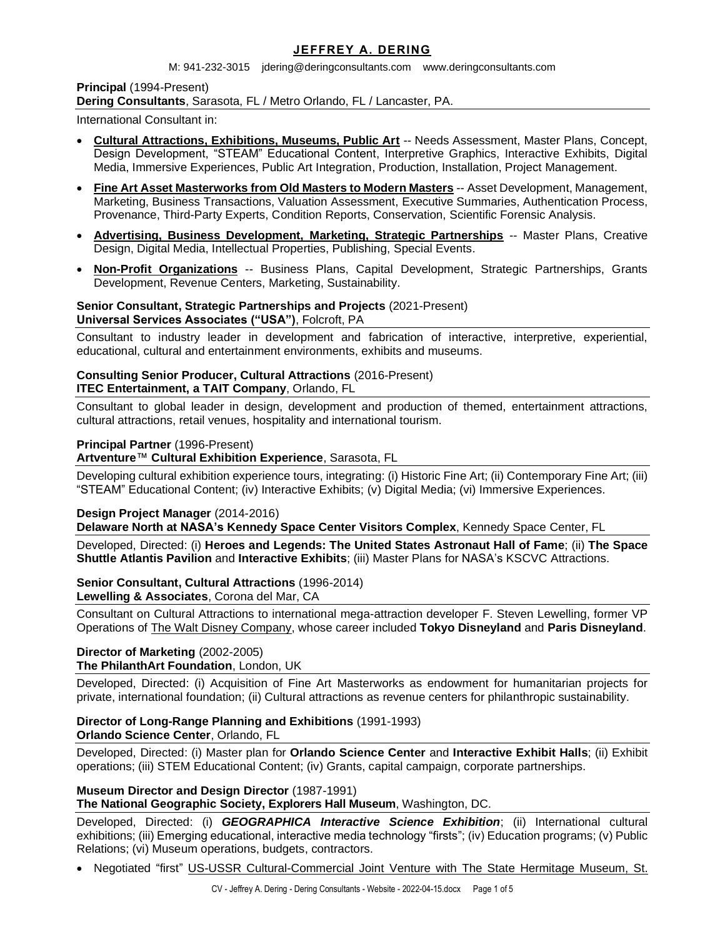# **JEFFREY A. DERING**

M: 941-232-3015 jdering@deringconsultants.com www.deringconsultants.com

**Principal** (1994-Present) **Dering Consultants**, Sarasota, FL / Metro Orlando, FL / Lancaster, PA.

International Consultant in:

- **Cultural Attractions, Exhibitions, Museums, Public Art** -- Needs Assessment, Master Plans, Concept, Design Development, "STEAM" Educational Content, Interpretive Graphics, Interactive Exhibits, Digital Media, Immersive Experiences, Public Art Integration, Production, Installation, Project Management.
- **Fine Art Asset Masterworks from Old Masters to Modern Masters** -- Asset Development, Management, Marketing, Business Transactions, Valuation Assessment, Executive Summaries, Authentication Process, Provenance, Third-Party Experts, Condition Reports, Conservation, Scientific Forensic Analysis.
- **Advertising, Business Development, Marketing, Strategic Partnerships** -- Master Plans, Creative Design, Digital Media, Intellectual Properties, Publishing, Special Events.
- **Non-Profit Organizations** -- Business Plans, Capital Development, Strategic Partnerships, Grants Development, Revenue Centers, Marketing, Sustainability.

#### **Senior Consultant, Strategic Partnerships and Projects** (2021-Present) **Universal Services Associates ("USA")**, Folcroft, PA

Consultant to industry leader in development and fabrication of interactive, interpretive, experiential, educational, cultural and entertainment environments, exhibits and museums.

# **Consulting Senior Producer, Cultural Attractions** (2016-Present) **ITEC Entertainment, a TAIT Company**, Orlando, FL

Consultant to global leader in design, development and production of themed, entertainment attractions, cultural attractions, retail venues, hospitality and international tourism.

### **Principal Partner** (1996-Present)

**Artventure**™ **Cultural Exhibition Experience**, Sarasota, FL

Developing cultural exhibition experience tours, integrating: (i) Historic Fine Art; (ii) Contemporary Fine Art; (iii) "STEAM" Educational Content; (iv) Interactive Exhibits; (v) Digital Media; (vi) Immersive Experiences.

# **Design Project Manager** (2014-2016)

**Delaware North at NASA's Kennedy Space Center Visitors Complex**, Kennedy Space Center, FL

Developed, Directed: (i) **Heroes and Legends: The United States Astronaut Hall of Fame**; (ii) **The Space Shuttle Atlantis Pavilion** and **Interactive Exhibits**; (iii) Master Plans for NASA's KSCVC Attractions.

#### **Senior Consultant, Cultural Attractions** (1996-2014) **Lewelling & Associates**, Corona del Mar, CA

Consultant on Cultural Attractions to international mega-attraction developer F. Steven Lewelling, former VP Operations of The Walt Disney Company, whose career included **Tokyo Disneyland** and **Paris Disneyland**.

# **Director of Marketing** (2002-2005)

**The PhilanthArt Foundation**, London, UK

Developed, Directed: (i) Acquisition of Fine Art Masterworks as endowment for humanitarian projects for private, international foundation; (ii) Cultural attractions as revenue centers for philanthropic sustainability.

#### **Director of Long-Range Planning and Exhibitions** (1991-1993) **Orlando Science Center**, Orlando, FL

Developed, Directed: (i) Master plan for **Orlando Science Center** and **Interactive Exhibit Halls**; (ii) Exhibit operations; (iii) STEM Educational Content; (iv) Grants, capital campaign, corporate partnerships.

# **Museum Director and Design Director** (1987-1991)

**The National Geographic Society, Explorers Hall Museum**, Washington, DC.

Developed, Directed: (i) *GEOGRAPHICA Interactive Science Exhibition*; (ii) International cultural exhibitions; (iii) Emerging educational, interactive media technology "firsts"; (iv) Education programs; (v) Public Relations; (vi) Museum operations, budgets, contractors.

• Negotiated "first" US-USSR Cultural-Commercial Joint Venture with The State Hermitage Museum, St.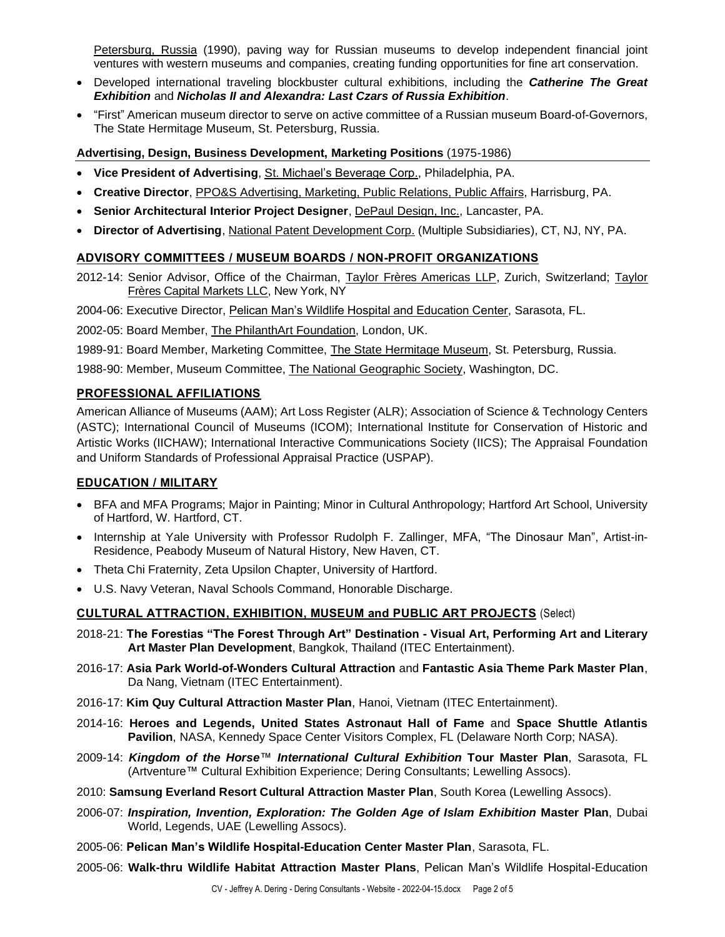Petersburg, Russia (1990), paving way for Russian museums to develop independent financial joint ventures with western museums and companies, creating funding opportunities for fine art conservation.

- Developed international traveling blockbuster cultural exhibitions, including the *Catherine The Great Exhibition* and *Nicholas II and Alexandra: Last Czars of Russia Exhibition*.
- "First" American museum director to serve on active committee of a Russian museum Board-of-Governors, The State Hermitage Museum, St. Petersburg, Russia.

### **Advertising, Design, Business Development, Marketing Positions** (1975-1986)

- **Vice President of Advertising**, St. Michael's Beverage Corp., Philadelphia, PA.
- **Creative Director**, PPO&S Advertising, Marketing, Public Relations, Public Affairs, Harrisburg, PA.
- **Senior Architectural Interior Project Designer**, DePaul Design, Inc., Lancaster, PA.
- **Director of Advertising**, National Patent Development Corp. (Multiple Subsidiaries), CT, NJ, NY, PA.

### **ADVISORY COMMITTEES / MUSEUM BOARDS / NON-PROFIT ORGANIZATIONS**

2012-14: Senior Advisor, Office of the Chairman, Taylor Frères Americas LLP, Zurich, Switzerland; Taylor Frères Capital Markets LLC, New York, NY

2004-06: Executive Director, Pelican Man's Wildlife Hospital and Education Center, Sarasota, FL.

2002-05: Board Member, The PhilanthArt Foundation, London, UK.

1989-91: Board Member, Marketing Committee, *The State Hermitage Museum*, St. Petersburg, Russia.

1988-90: Member, Museum Committee, The National Geographic Society, Washington, DC.

### **PROFESSIONAL AFFILIATIONS**

American Alliance of Museums (AAM); Art Loss Register (ALR); Association of Science & Technology Centers (ASTC); International Council of Museums (ICOM); International Institute for Conservation of Historic and Artistic Works (IICHAW); International Interactive Communications Society (IICS); The Appraisal Foundation and Uniform Standards of Professional Appraisal Practice (USPAP).

#### **EDUCATION / MILITARY**

- BFA and MFA Programs; Major in Painting; Minor in Cultural Anthropology; Hartford Art School, University of Hartford, W. Hartford, CT.
- Internship at Yale University with Professor Rudolph F. Zallinger, MFA, "The Dinosaur Man", Artist-in-Residence, Peabody Museum of Natural History, New Haven, CT.
- Theta Chi Fraternity, Zeta Upsilon Chapter, University of Hartford.
- U.S. Navy Veteran, Naval Schools Command, Honorable Discharge.

#### **CULTURAL ATTRACTION, EXHIBITION, MUSEUM and PUBLIC ART PROJECTS** (Select)

- 2018-21: **The Forestias "The Forest Through Art" Destination - Visual Art, Performing Art and Literary Art Master Plan Development**, Bangkok, Thailand (ITEC Entertainment).
- 2016-17: **Asia Park World-of-Wonders Cultural Attraction** and **Fantastic Asia Theme Park Master Plan**, Da Nang, Vietnam (ITEC Entertainment).
- 2016-17: **Kim Quy Cultural Attraction Master Plan**, Hanoi, Vietnam (ITEC Entertainment).
- 2014-16: **Heroes and Legends, United States Astronaut Hall of Fame** and **Space Shuttle Atlantis Pavilion**, NASA, Kennedy Space Center Visitors Complex, FL (Delaware North Corp; NASA).
- 2009-14: *Kingdom of the Horse*™ *International Cultural Exhibition* **Tour Master Plan**, Sarasota, FL (Artventure™ Cultural Exhibition Experience; Dering Consultants; Lewelling Assocs).
- 2010: **Samsung Everland Resort Cultural Attraction Master Plan**, South Korea (Lewelling Assocs).
- 2006-07: *Inspiration, Invention, Exploration: The Golden Age of Islam Exhibition* **Master Plan**, Dubai World, Legends, UAE (Lewelling Assocs).
- 2005-06: **Pelican Man's Wildlife Hospital-Education Center Master Plan**, Sarasota, FL.
- 2005-06: **Walk-thru Wildlife Habitat Attraction Master Plans**, Pelican Man's Wildlife Hospital-Education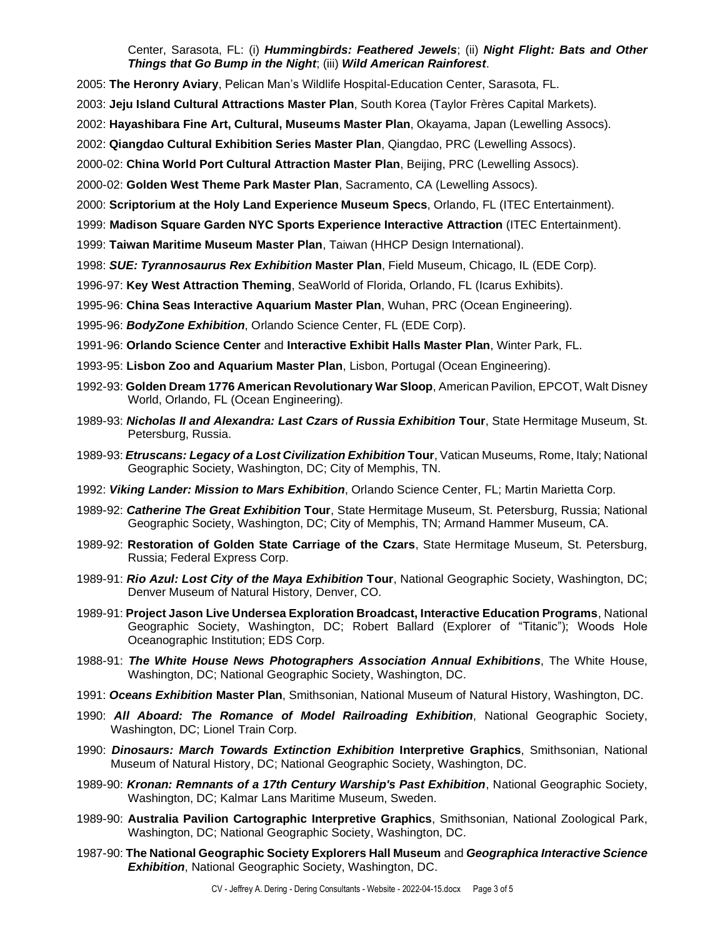Center, Sarasota, FL: (i) *Hummingbirds: Feathered Jewels*; (ii) *Night Flight: Bats and Other Things that Go Bump in the Night*; (iii) *Wild American Rainforest*.

- 2005: **The Heronry Aviary**, Pelican Man's Wildlife Hospital-Education Center, Sarasota, FL.
- 2003: **Jeju Island Cultural Attractions Master Plan**, South Korea (Taylor Frères Capital Markets).
- 2002: **Hayashibara Fine Art, Cultural, Museums Master Plan**, Okayama, Japan (Lewelling Assocs).
- 2002: **Qiangdao Cultural Exhibition Series Master Plan**, Qiangdao, PRC (Lewelling Assocs).
- 2000-02: **China World Port Cultural Attraction Master Plan**, Beijing, PRC (Lewelling Assocs).
- 2000-02: **Golden West Theme Park Master Plan**, Sacramento, CA (Lewelling Assocs).
- 2000: **Scriptorium at the Holy Land Experience Museum Specs**, Orlando, FL (ITEC Entertainment).
- 1999: **Madison Square Garden NYC Sports Experience Interactive Attraction** (ITEC Entertainment).
- 1999: **Taiwan Maritime Museum Master Plan**, Taiwan (HHCP Design International).
- 1998: *SUE: Tyrannosaurus Rex Exhibition* **Master Plan**, Field Museum, Chicago, IL (EDE Corp).
- 1996-97: **Key West Attraction Theming**, SeaWorld of Florida, Orlando, FL (Icarus Exhibits).
- 1995-96: **China Seas Interactive Aquarium Master Plan**, Wuhan, PRC (Ocean Engineering).
- 1995-96: *BodyZone Exhibition*, Orlando Science Center, FL (EDE Corp).
- 1991-96: **Orlando Science Center** and **Interactive Exhibit Halls Master Plan**, Winter Park, FL.
- 1993-95: **Lisbon Zoo and Aquarium Master Plan**, Lisbon, Portugal (Ocean Engineering).
- 1992-93: **Golden Dream 1776 American Revolutionary War Sloop**, American Pavilion, EPCOT, Walt Disney World, Orlando, FL (Ocean Engineering).
- 1989-93: *Nicholas II and Alexandra: Last Czars of Russia Exhibition* **Tour**, State Hermitage Museum, St. Petersburg, Russia.
- 1989-93: *Etruscans: Legacy of a Lost Civilization Exhibition* **Tour**, Vatican Museums, Rome, Italy; National Geographic Society, Washington, DC; City of Memphis, TN.
- 1992: *Viking Lander: Mission to Mars Exhibition*, Orlando Science Center, FL; Martin Marietta Corp.
- 1989-92: *Catherine The Great Exhibition* **Tour**, State Hermitage Museum, St. Petersburg, Russia; National Geographic Society, Washington, DC; City of Memphis, TN; Armand Hammer Museum, CA.
- 1989-92: **Restoration of Golden State Carriage of the Czars**, State Hermitage Museum, St. Petersburg, Russia; Federal Express Corp.
- 1989-91: *Rio Azul: Lost City of the Maya Exhibition* **Tour**, National Geographic Society, Washington, DC; Denver Museum of Natural History, Denver, CO.
- 1989-91: **Project Jason Live Undersea Exploration Broadcast, Interactive Education Programs**, National Geographic Society, Washington, DC; Robert Ballard (Explorer of "Titanic"); Woods Hole Oceanographic Institution; EDS Corp.
- 1988-91: *The White House News Photographers Association Annual Exhibitions*, The White House, Washington, DC; National Geographic Society, Washington, DC.
- 1991: *Oceans Exhibition* **Master Plan**, Smithsonian, National Museum of Natural History, Washington, DC.
- 1990: *All Aboard: The Romance of Model Railroading Exhibition*, National Geographic Society, Washington, DC; Lionel Train Corp.
- 1990: *Dinosaurs: March Towards Extinction Exhibition* **Interpretive Graphics**, Smithsonian, National Museum of Natural History, DC; National Geographic Society, Washington, DC.
- 1989-90: *Kronan: Remnants of a 17th Century Warship's Past Exhibition*, National Geographic Society, Washington, DC; Kalmar Lans Maritime Museum, Sweden.
- 1989-90: **Australia Pavilion Cartographic Interpretive Graphics**, Smithsonian, National Zoological Park, Washington, DC; National Geographic Society, Washington, DC.
- 1987-90: **The National Geographic Society Explorers Hall Museum** and *Geographica Interactive Science Exhibition*, National Geographic Society, Washington, DC.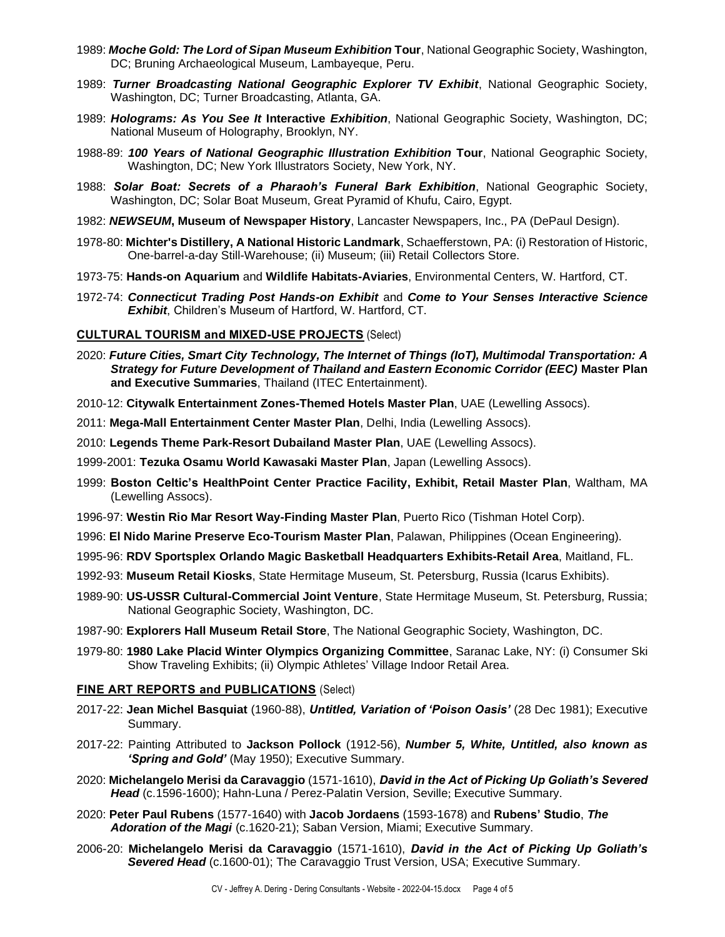- 1989: *Moche Gold: The Lord of Sipan Museum Exhibition* **Tour**, National Geographic Society, Washington, DC; Bruning Archaeological Museum, Lambayeque, Peru.
- 1989: *Turner Broadcasting National Geographic Explorer TV Exhibit*, National Geographic Society, Washington, DC; Turner Broadcasting, Atlanta, GA.
- 1989: *Holograms: As You See It* **Interactive** *Exhibition*, National Geographic Society, Washington, DC; National Museum of Holography, Brooklyn, NY.
- 1988-89: *100 Years of National Geographic Illustration Exhibition* **Tour**, National Geographic Society, Washington, DC; New York Illustrators Society, New York, NY.
- 1988: *Solar Boat: Secrets of a Pharaoh's Funeral Bark Exhibition*, National Geographic Society, Washington, DC; Solar Boat Museum, Great Pyramid of Khufu, Cairo, Egypt.
- 1982: *NEWSEUM***, Museum of Newspaper History**, Lancaster Newspapers, Inc., PA (DePaul Design).
- 1978-80: **Michter's Distillery, A National Historic Landmark**, Schaefferstown, PA: (i) Restoration of Historic, One-barrel-a-day Still-Warehouse; (ii) Museum; (iii) Retail Collectors Store.
- 1973-75: **Hands-on Aquarium** and **Wildlife Habitats-Aviaries**, Environmental Centers, W. Hartford, CT.
- 1972-74: *Connecticut Trading Post Hands-on Exhibit* and *Come to Your Senses Interactive Science Exhibit*, Children's Museum of Hartford, W. Hartford, CT.

### **CULTURAL TOURISM and MIXED-USE PROJECTS** (Select)

- 2020: *Future Cities, Smart City Technology, The Internet of Things (IoT), Multimodal Transportation: A Strategy for Future Development of Thailand and Eastern Economic Corridor (EEC)* **Master Plan and Executive Summaries**, Thailand (ITEC Entertainment).
- 2010-12: **Citywalk Entertainment Zones-Themed Hotels Master Plan**, UAE (Lewelling Assocs).
- 2011: **Mega-Mall Entertainment Center Master Plan**, Delhi, India (Lewelling Assocs).
- 2010: **Legends Theme Park-Resort Dubailand Master Plan**, UAE (Lewelling Assocs).
- 1999-2001: **Tezuka Osamu World Kawasaki Master Plan**, Japan (Lewelling Assocs).
- 1999: **Boston Celtic's HealthPoint Center Practice Facility, Exhibit, Retail Master Plan**, Waltham, MA (Lewelling Assocs).
- 1996-97: **Westin Rio Mar Resort Way-Finding Master Plan**, Puerto Rico (Tishman Hotel Corp).
- 1996: **El Nido Marine Preserve Eco-Tourism Master Plan**, Palawan, Philippines (Ocean Engineering).
- 1995-96: **RDV Sportsplex Orlando Magic Basketball Headquarters Exhibits-Retail Area**, Maitland, FL.
- 1992-93: **Museum Retail Kiosks**, State Hermitage Museum, St. Petersburg, Russia (Icarus Exhibits).
- 1989-90: **US-USSR Cultural-Commercial Joint Venture**, State Hermitage Museum, St. Petersburg, Russia; National Geographic Society, Washington, DC.
- 1987-90: **Explorers Hall Museum Retail Store**, The National Geographic Society, Washington, DC.
- 1979-80: **1980 Lake Placid Winter Olympics Organizing Committee**, Saranac Lake, NY: (i) Consumer Ski Show Traveling Exhibits; (ii) Olympic Athletes' Village Indoor Retail Area.

#### **FINE ART REPORTS and PUBLICATIONS** (Select)

- 2017-22: **Jean Michel Basquiat** (1960-88), *Untitled, Variation of 'Poison Oasis'* (28 Dec 1981); Executive Summary.
- 2017-22: Painting Attributed to **Jackson Pollock** (1912-56), *Number 5, White, Untitled, also known as 'Spring and Gold'* (May 1950); Executive Summary.
- 2020: **Michelangelo Merisi da Caravaggio** (1571-1610), *David in the Act of Picking Up Goliath's Severed*  Head (c.1596-1600); Hahn-Luna / Perez-Palatin Version, Seville; Executive Summary.
- 2020: **Peter Paul Rubens** (1577-1640) with **Jacob Jordaens** (1593-1678) and **Rubens' Studio**, *The Adoration of the Magi* (c.1620-21); Saban Version, Miami; Executive Summary.
- 2006-20: **Michelangelo Merisi da Caravaggio** (1571-1610), *David in the Act of Picking Up Goliath's Severed Head* (c.1600-01); The Caravaggio Trust Version, USA; Executive Summary.